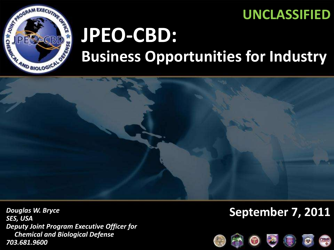### **UNCLASSIFIED**



# **JPEO-CBD: Business Opportunities for Industry**



*Douglas W. Bryce SES, USA Deputy Joint Program Executive Officer for Chemical and Biological Defense 703.681.9600*

### **September 7, 2011**

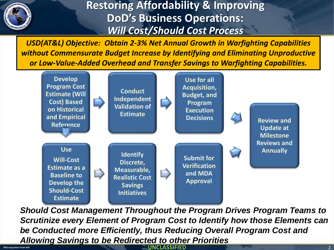

### **Restoring Affordability & Improving DoD's Business Operations:** *Will Cost/Should Cost Process*

*USD(AT&L) Objective: Obtain 2-3% Net Annual Growth in Warfighting Capabilities without Commensurate Budget Increase by Identifying and Eliminating Unproductive or Low-Value-Added Overhead and Transfer Savings to Warfighting Capabilities.*



**UNCLASSIFIED** *Should Cost Management Throughout the Program Drives Program Teams to Scrutinize every Element of Program Cost to Identify how those Elements can be Conducted more Efficiently, thus Reducing Overall Program Cost and Allowing Savings to be Redirected to other Priorities* 

**JPEO Acquisition Town Hall** 2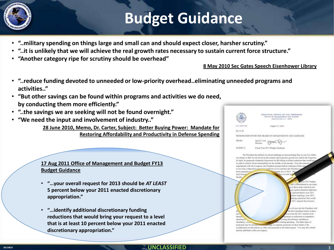## **Budget Guidance**

- **"..military spending on things large and small can and should expect closer, harsher scrutiny."**
- **"..it is unlikely that we will achieve the real growth rates necessary to sustain current force structure."**
- **"Another category ripe for scrutiny should be overhead"**

**8 May 2010 Sec Gates Speech Eisenhower Library**

- **"..reduce funding devoted to unneeded or low-priority overhead..eliminating unneeded programs and activities.."**
- **"But other savings can be found within programs and activities we do need, by conducting them more efficiently."**
- **"..the savings we are seeking will not be found overnight."**
- **"We need the input and involvement of industry.."**

**28 June 2010, Memo, Dr. Carter, Subject: Better Buying Power: Mandate for Restoring Affordability and Productivity in Defense Spending**



**17 Aug 2011 Office of Management and Budget FY13 Budget Guidance**

- **"…your overall request for 2013 should be** *AT LEAST*  **5 percent below your 2011 enacted discretionary appropriation."**
- **"…identify additional discretionary funding reductions that would bring your request to a level that is at least 10 percent below your 2011 enacted discretionary appropriation."**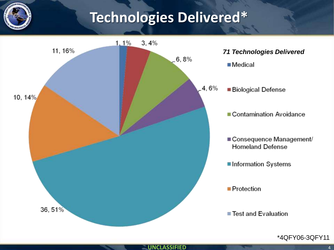## **Technologies Delivered\***



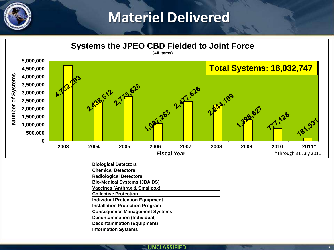### **Materiel Delivered**



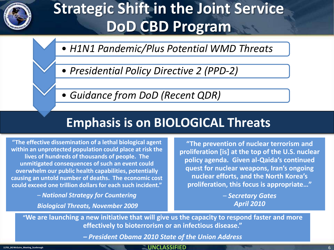

## **Strategic Shift in the Joint Service DoD CBD Program**

- *H1N1 Pandemic/Plus Potential WMD Threats*
- *Presidential Policy Directive 2 (PPD-2)*
- *Guidance from DoD (Recent QDR)*

### **Emphasis is on BIOLOGICAL Threats**

**"The effective dissemination of a lethal biological agent within an unprotected population could place at risk the lives of hundreds of thousands of people. The unmitigated consequences of such an event could overwhelm our public health capabilities, potentially causing an untold number of deaths. The economic cost could exceed one trillion dollars for each such incident."**

> *– National Strategy for Countering Biological Threats, November 2009*

**"The prevention of nuclear terrorism and proliferation [is] at the top of the U.S. nuclear policy agenda. Given al-Qaida's continued quest for nuclear weapons, Iran's ongoing nuclear efforts, and the North Korea's proliferation, this focus is appropriate…"**

> *– Secretary Gates April 2010*

**"We are launching a new initiative that will give us the capacity to respond faster and more effectively to bioterrorism or an infectious disease."**

*– President Obama 2010 State of the Union Address* 

#### **UNCLASSIFIED 11701\_BG McGuire\_Meeting\_Scarbrough** 6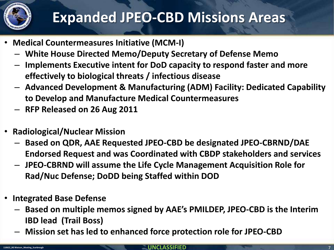

## **Expanded JPEO-CBD Missions Areas**

- **Medical Countermeasures Initiative (MCM-I)**
	- **White House Directed Memo/Deputy Secretary of Defense Memo**
	- **Implements Executive intent for DoD capacity to respond faster and more effectively to biological threats / infectious disease**
	- **Advanced Development & Manufacturing (ADM) Facility: Dedicated Capability to Develop and Manufacture Medical Countermeasures**
	- **RFP Released on 26 Aug 2011**
- **Radiological/Nuclear Mission**
	- **Based on QDR, AAE Requested JPEO-CBD be designated JPEO-CBRND/DAE Endorsed Request and was Coordinated with CBDP stakeholders and services**
	- **JPEO-CBRND will assume the Life Cycle Management Acquisition Role for Rad/Nuc Defense; DoDD being Staffed within DOD**
- **Integrated Base Defense**
	- **Based on multiple memos signed by AAE's PMILDEP, JPEO-CBD is the Interim IBD lead (Trail Boss)**
	- **Mission set has led to enhanced force protection role for JPEO-CBD**

#### **UNCLASSIFIED 110622\_BG Watson\_Meeting\_Scarbrough** 7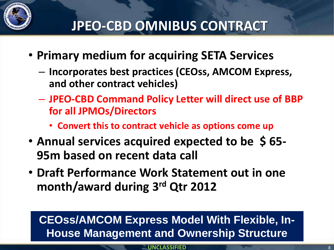

## **JPEO-CBD OMNIBUS CONTRACT**

- **Primary medium for acquiring SETA Services**
	- **Incorporates best practices (CEOss, AMCOM Express, and other contract vehicles)**
	- **JPEO-CBD Command Policy Letter will direct use of BBP for all JPMOs/Directors**
		- **Convert this to contract vehicle as options come up**
- **Annual services acquired expected to be \$ 65- 95m based on recent data call**
- **Draft Performance Work Statement out in one month/award during 3rd Qtr 2012**

### **CEOss/AMCOM Express Model With Flexible, In-House Management and Ownership Structure**

**UNCLASSIFIED**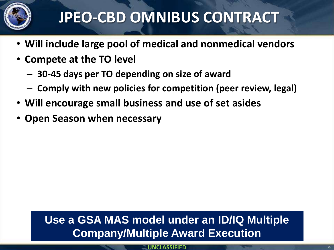

## **JPEO-CBD OMNIBUS CONTRACT**

- **Will include large pool of medical and nonmedical vendors**
- **Compete at the TO level**
	- **30-45 days per TO depending on size of award**
	- **Comply with new policies for competition (peer review, legal)**
- **Will encourage small business and use of set asides**
- **Open Season when necessary**

### **Use a GSA MAS model under an ID/IQ Multiple Company/Multiple Award Execution**

**UNCLASSIFIED**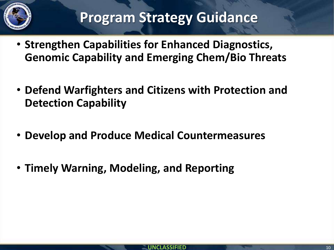

- **Strengthen Capabilities for Enhanced Diagnostics, Genomic Capability and Emerging Chem/Bio Threats**
- **Defend Warfighters and Citizens with Protection and Detection Capability**
- **Develop and Produce Medical Countermeasures**
- **Timely Warning, Modeling, and Reporting**